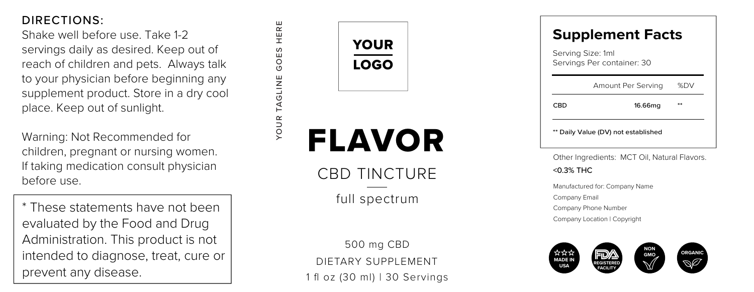Shake well before use. Take 1-2 servings daily as desired. Keep out of reach of children and pets. Always talk to your physician before beginning any supplement product. Store in a dry cool place. Keep out of sunlight.

Warning: Not Recommended for children, pregnant or nursing women. If taking medication consult physician before use.

\* These statements have not been evaluated by the Food and Drug Administration. This product is not intended to diagnose, treat, cure or prevent any disease.



YOUR TAGLINE GOES HERE

DIETARY SUPPLEMENT 500 mg CBD 1 fl oz (30 ml) | 30 Servings

# Servings Per container: 30<br>Servings Per container: 30<br>Amount Per Serving - 9<br>CBD - 16.66mg - 11 \* Amount Per Serving %DV<br>
\*\* Daily Value (DV) not established<br>
\*\* Daily Value (DV) not established **Supplement Facts**

Other Ingredients: MCT Oil, Natural Flavors. <0.3% THC

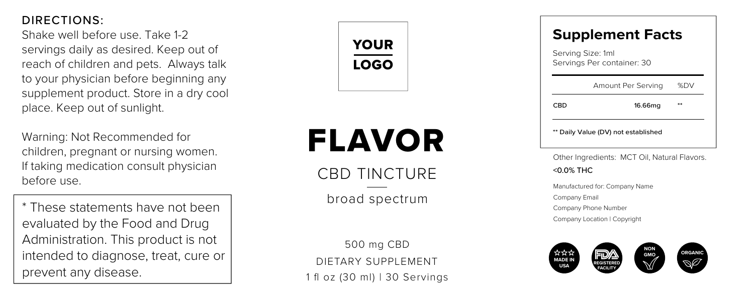Shake well before use. Take 1-2 servings daily as desired. Keep out of reach of children and pets. Always talk to your physician before beginning any supplement product. Store in a dry cool place. Keep out of sunlight.

Warning: Not Recommended for children, pregnant or nursing women. If taking medication consult physician before use.

\* These statements have not been evaluated by the Food and Drug Administration. This product is not intended to diagnose, treat, cure or prevent any disease.



## FLAVOR

CBD TINCTURE

broad spectrum

DIETARY SUPPLEMENT 500 mg CBD 1 fl oz (30 ml) | 30 Servings

### **Supplement Facts**

| Serving Size: 1ml<br>Servings Per container: 30 |                    |             |
|-------------------------------------------------|--------------------|-------------|
|                                                 | Amount Per Serving | <b>SCEW</b> |
| CRD                                             | 16.66mg            |             |
| ** Daily Value (DV) net established             |                    |             |

Other Ingredients: MCT Oil, Natural Flavors. <0.0% THC

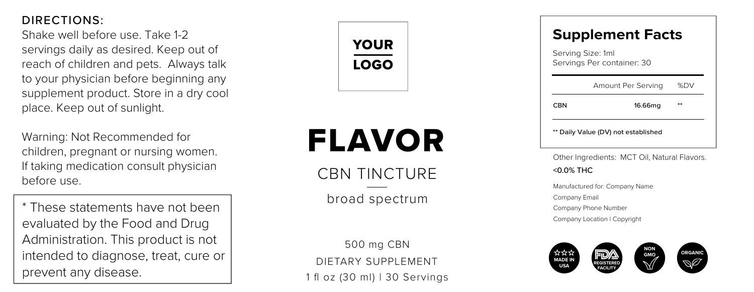Shake well before use. Take 1-2 servings daily as desired. Keep out of reach of children and pets. Always talk to your physician before beginning any supplement product. Store in a dry cool place. Keep out of sunlight.

Warning: Not Recommended for children, pregnant or nursing women. If taking medication consult physician before use.

\* These statements have not been evaluated by the Food and Drug Administration. This product is not intended to diagnose, treat, cure or prevent any disease.



## FLAVOR

CRN TINCTURE

broad spectrum

DIETARY SUPPLEMENT 500 mg CBN 1 fl oz (30 ml) | 30 Servings

### **Supplement Facts**

|     | Serving Size: 1ml<br>Servings Per container: 30 |             |
|-----|-------------------------------------------------|-------------|
|     | Amount Per Serving                              | <b>SCEW</b> |
| CRN | 16.66mg                                         |             |
|     | ** Daily Value (DV) net established             |             |

Other Ingredients: MCT Oil, Natural Flavors. <0.0% THC

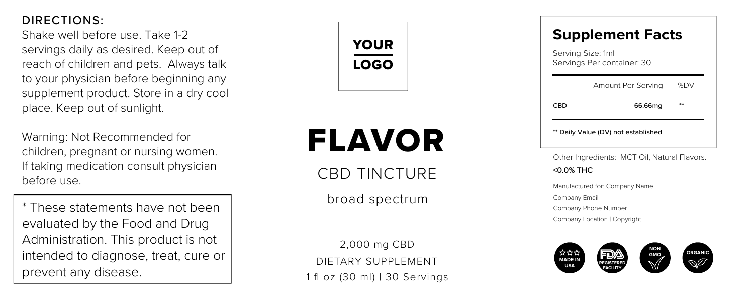Shake well before use. Take 1-2 servings daily as desired. Keep out of reach of children and pets. Always talk to your physician before beginning any supplement product. Store in a dry cool place. Keep out of sunlight.

Warning: Not Recommended for children, pregnant or nursing women. If taking medication consult physician before use.

\* These statements have not been evaluated by the Food and Drug Administration. This product is not intended to diagnose, treat, cure or prevent any disease.



## FLAVOR

CBD TINCTURE

broad spectrum

DIETARY SUPPLEMENT 2,000 mg CBD 1 fl oz (30 ml) | 30 Servings

### **Supplement Facts**

| CBD               | 66.66mg                    |             |
|-------------------|----------------------------|-------------|
|                   | Amount Per Serving         | <b>SCEW</b> |
| Serving Size: 1ml | Servings Per container: 30 |             |

\* CBD 66.66mg<br>\*\* Daily Value (DV) not established

Other Ingredients: MCT Oil, Natural Flavors. <0.0% THC

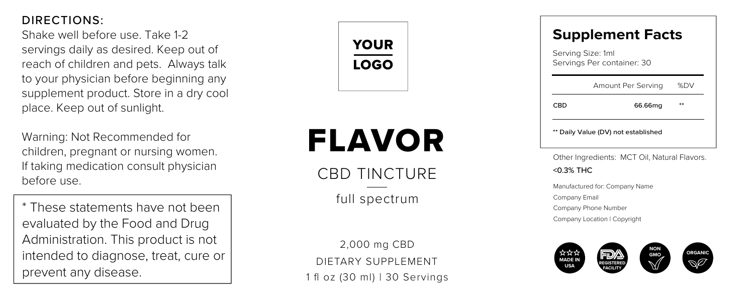Shake well before use. Take 1-2 servings daily as desired. Keep out of reach of children and pets. Always talk to your physician before beginning any supplement product. Store in a dry cool place. Keep out of sunlight.

Warning: Not Recommended for children, pregnant or nursing women. If taking medication consult physician before use.

\* These statements have not been evaluated by the Food and Drug Administration. This product is not intended to diagnose, treat, cure or prevent any disease.



## FLAVOR

CBD TINCTURE

full spectrum

DIETARY SUPPLEMENT 2,000 mg CBD 1 fl oz (30 ml) | 30 Servings

### **Supplement Facts**

| CBD                                             | 66.66mg            |             |  |
|-------------------------------------------------|--------------------|-------------|--|
|                                                 | Amount Per Serving | <b>SCEW</b> |  |
| Serving Size: 1ml<br>Servings Per container: 30 |                    |             |  |

\* CBD 66.66mg<br>\*\* Daily Value (DV) not established

Other Ingredients: MCT Oil, Natural Flavors. <0.3% THC

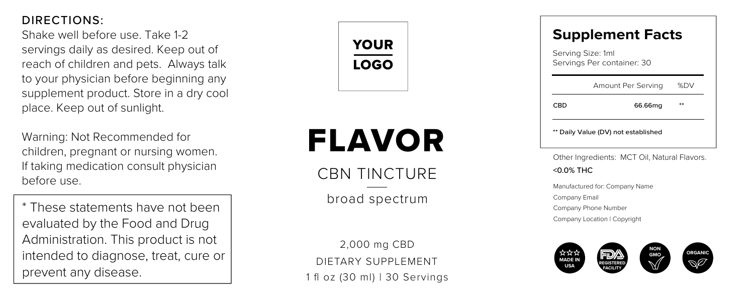Shake well before use. Take 1-2 servings daily as desired. Keep out of reach of children and pets. Always talk to your physician before beginning any supplement product. Store in a dry cool place. Keep out of sunlight.

Warning: Not Recommended for children, pregnant or nursing women. If taking medication consult physician before use.

\* These statements have not been evaluated by the Food and Drug Administration. This product is not intended to diagnose, treat, cure or prevent any disease.



## FLAVOR

CRN TINCTURE

broad spectrum

DIETARY SUPPLEMENT 2,000 mg CBD 1 fl oz (30 ml) | 30 Servings

### **Supplement Facts**

| CBD                                             | 66.66mg            |             |  |
|-------------------------------------------------|--------------------|-------------|--|
|                                                 | Amount Per Serving | <b>SCEW</b> |  |
| Serving Size: 1ml<br>Servings Per container: 30 |                    |             |  |

\* CBD 66.66mg<br>\*\* Daily Value (DV) not established

Other Ingredients: MCT Oil, Natural Flavors. <0.0% THC

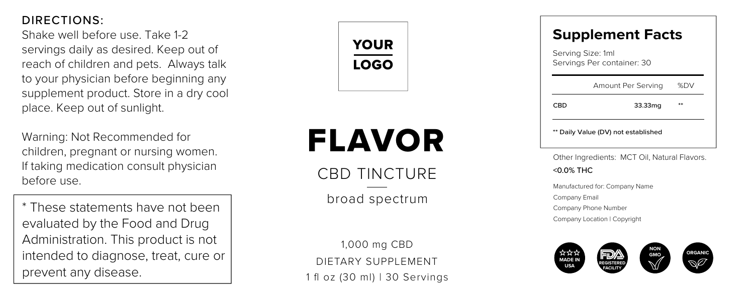Shake well before use. Take 1-2 servings daily as desired. Keep out of reach of children and pets. Always talk to your physician before beginning any supplement product. Store in a dry cool place. Keep out of sunlight.

Warning: Not Recommended for children, pregnant or nursing women. If taking medication consult physician before use.

\* These statements have not been evaluated by the Food and Drug Administration. This product is not intended to diagnose, treat, cure or prevent any disease.



## FLAVOR

CBD TINCTURE

broad spectrum

DIETARY SUPPLEMENT 1,000 mg CBD 1 fl oz (30 ml) | 30 Servings

### **Supplement Facts**

| Serving Size: 1ml<br>Servings Per container: 30 |                                     |             |
|-------------------------------------------------|-------------------------------------|-------------|
|                                                 | Amount Per Serving                  | <b>SCEW</b> |
| CRD                                             | 33.33mg                             |             |
|                                                 | ** Daily Value (DV) net established |             |

Other Ingredients: MCT Oil, Natural Flavors. <0.0% THC

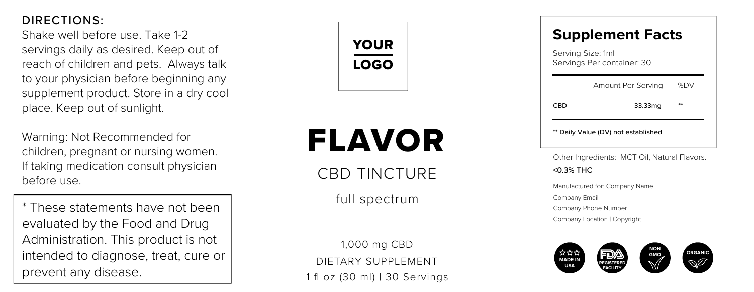Shake well before use. Take 1-2 servings daily as desired. Keep out of reach of children and pets. Always talk to your physician before beginning any supplement product. Store in a dry cool place. Keep out of sunlight.

Warning: Not Recommended for children, pregnant or nursing women. If taking medication consult physician before use.

\* These statements have not been evaluated by the Food and Drug Administration. This product is not intended to diagnose, treat, cure or prevent any disease.



## FLAVOR

CBD TINCTURE

full spectrum

DIETARY SUPPLEMENT 1,000 mg CBD 1 fl oz (30 ml) | 30 Servings

### **Supplement Facts**

| Serving Size: 1ml<br>Servings Per container: 30 |                                     |             |
|-------------------------------------------------|-------------------------------------|-------------|
|                                                 | Amount Per Serving                  | <b>SCEW</b> |
| CRD                                             | 33.33mg                             |             |
|                                                 | ** Daily Value (DV) net established |             |

Other Ingredients: MCT Oil, Natural Flavors. <0.3% THC